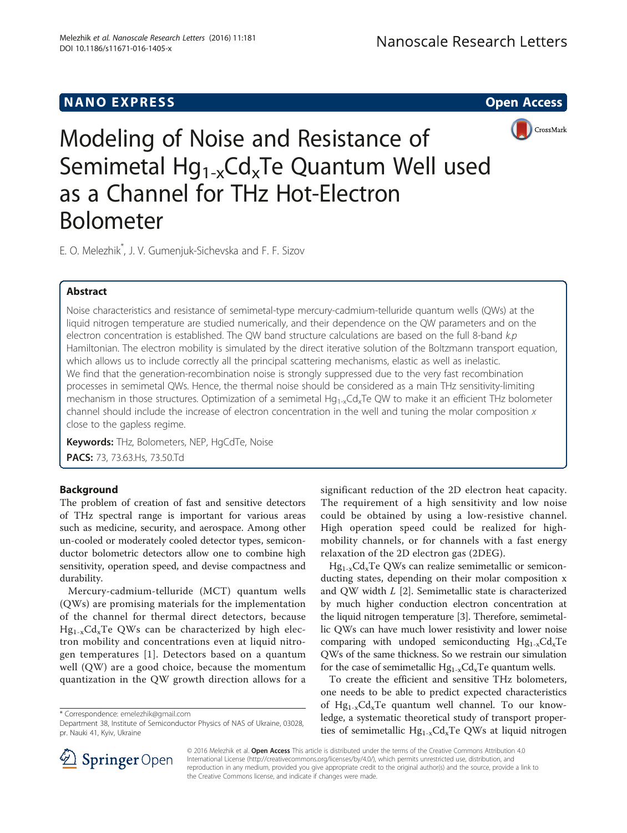# **NANO EXPRESS** Open Access and the set of the set of the set of the set of the set of the set of the set of the set of the set of the set of the set of the set of the set of the set of the set of the set of the set of the



Modeling of Noise and Resistance of Semimetal  $Hg_{1-x}Cd_xTe$  Quantum Well used as a Channel for THz Hot-Electron Bolometer

E. O. Melezhik\* , J. V. Gumenjuk-Sichevska and F. F. Sizov

## Abstract

Noise characteristics and resistance of semimetal-type mercury-cadmium-telluride quantum wells (QWs) at the liquid nitrogen temperature are studied numerically, and their dependence on the QW parameters and on the electron concentration is established. The QW band structure calculations are based on the full 8-band  $k.p$ Hamiltonian. The electron mobility is simulated by the direct iterative solution of the Boltzmann transport equation, which allows us to include correctly all the principal scattering mechanisms, elastic as well as inelastic. We find that the generation-recombination noise is strongly suppressed due to the very fast recombination processes in semimetal QWs. Hence, the thermal noise should be considered as a main THz sensitivity-limiting mechanism in those structures. Optimization of a semimetal  $Hq_{1-x}Cd_xTe$  QW to make it an efficient THz bolometer channel should include the increase of electron concentration in the well and tuning the molar composition  $x$ close to the gapless regime.

Keywords: THz, Bolometers, NEP, HgCdTe, Noise PACS: 73, 73.63. Hs, 73.50. Td

## Background

The problem of creation of fast and sensitive detectors of THz spectral range is important for various areas such as medicine, security, and aerospace. Among other un-cooled or moderately cooled detector types, semiconductor bolometric detectors allow one to combine high sensitivity, operation speed, and devise compactness and durability.

Mercury-cadmium-telluride (MCT) quantum wells (QWs) are promising materials for the implementation of the channel for thermal direct detectors, because  $Hg_{1-x}Cd_xTe$  QWs can be characterized by high electron mobility and concentrations even at liquid nitrogen temperatures [[1\]](#page-5-0). Detectors based on a quantum well (QW) are a good choice, because the momentum quantization in the QW growth direction allows for a significant reduction of the 2D electron heat capacity. The requirement of a high sensitivity and low noise could be obtained by using a low-resistive channel. High operation speed could be realized for highmobility channels, or for channels with a fast energy relaxation of the 2D electron gas (2DEG).

 $Hg_{1-x}Cd_xTe$  QWs can realize semimetallic or semiconducting states, depending on their molar composition x and QW width L [[2\]](#page-5-0). Semimetallic state is characterized by much higher conduction electron concentration at the liquid nitrogen temperature [\[3](#page-5-0)]. Therefore, semimetallic QWs can have much lower resistivity and lower noise comparing with undoped semiconducting  $Hg_{1-x}Cd_xTe$ QWs of the same thickness. So we restrain our simulation for the case of semimetallic  $Hg_{1-x}Cd_xTe$  quantum wells.

To create the efficient and sensitive THz bolometers, one needs to be able to predict expected characteristics of  $Hg_{1-x}Cd_xTe$  quantum well channel. To our knowledge, a systematic theoretical study of transport properties of semimetallic  $Hg_{1-x}Cd_xTe$  QWs at liquid nitrogen



© 2016 Melezhik et al. **Open Access** This article is distributed under the terms of the Creative Commons Attribution 4.0 International License ([http://creativecommons.org/licenses/by/4.0/\)](http://creativecommons.org/licenses/by/4.0/), which permits unrestricted use, distribution, and reproduction in any medium, provided you give appropriate credit to the original author(s) and the source, provide a link to the Creative Commons license, and indicate if changes were made.

<sup>\*</sup> Correspondence: [emelezhik@gmail.com](mailto:emelezhik@gmail.com)

Department 38, Institute of Semiconductor Physics of NAS of Ukraine, 03028, pr. Nauki 41, Kyiv, Ukraine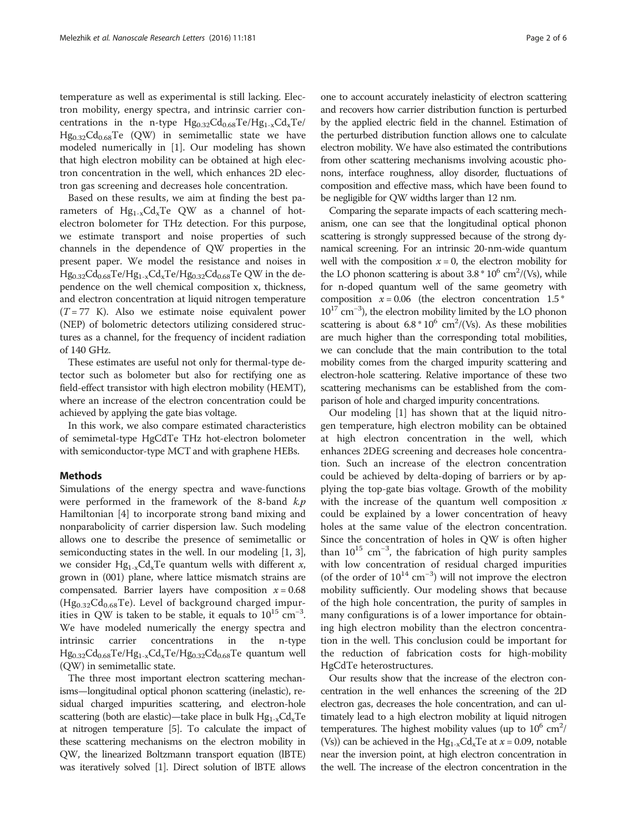temperature as well as experimental is still lacking. Electron mobility, energy spectra, and intrinsic carrier concentrations in the n-type  $Hg_{0.32}Cd_{0.68}Te/Hg_{1-x}Cd_{x}Te/$  $Hg_{0.32}Cd_{0.68}Te$  (QW) in semimetallic state we have modeled numerically in [[1\]](#page-5-0). Our modeling has shown that high electron mobility can be obtained at high electron concentration in the well, which enhances 2D electron gas screening and decreases hole concentration.

Based on these results, we aim at finding the best parameters of  $Hg_{1-x}Cd_xTe$  QW as a channel of hotelectron bolometer for THz detection. For this purpose, we estimate transport and noise properties of such channels in the dependence of QW properties in the present paper. We model the resistance and noises in  $Hg_{0.32}Cd_{0.68}Te/Hg_{1-x}Cd_xTe/Hg_{0.32}Cd_{0.68}Te QW$  in the dependence on the well chemical composition x, thickness, and electron concentration at liquid nitrogen temperature  $(T = 77$  K). Also we estimate noise equivalent power (NEP) of bolometric detectors utilizing considered structures as a channel, for the frequency of incident radiation of 140 GHz.

These estimates are useful not only for thermal-type detector such as bolometer but also for rectifying one as field-effect transistor with high electron mobility (HEMT), where an increase of the electron concentration could be achieved by applying the gate bias voltage.

In this work, we also compare estimated characteristics of semimetal-type HgCdTe THz hot-electron bolometer with semiconductor-type MCT and with graphene HEBs.

### Methods

Simulations of the energy spectra and wave-functions were performed in the framework of the 8-band  $k$ .p Hamiltonian [[4\]](#page-5-0) to incorporate strong band mixing and nonparabolicity of carrier dispersion law. Such modeling allows one to describe the presence of semimetallic or semiconducting states in the well. In our modeling [\[1](#page-5-0), [3](#page-5-0)], we consider  $Hg_{1-x}Cd_xTe$  quantum wells with different x, grown in (001) plane, where lattice mismatch strains are compensated. Barrier layers have composition  $x = 0.68$  $(Hg_{0.32}Cd_{0.68}Te)$ . Level of background charged impurities in QW is taken to be stable, it equals to  $10^{15}$  cm<sup>-3</sup>. We have modeled numerically the energy spectra and intrinsic carrier concentrations in the n-type  $Hg_{0.32}Cd_{0.68}Te/Hg_{1-x}Cd_xTe/Hg_{0.32}Cd_{0.68}Te$  quantum well (QW) in semimetallic state.

The three most important electron scattering mechanisms—longitudinal optical phonon scattering (inelastic), residual charged impurities scattering, and electron-hole scattering (both are elastic)—take place in bulk  $Hg_{1-x}Cd_xTe$ at nitrogen temperature [\[5\]](#page-5-0). To calculate the impact of these scattering mechanisms on the electron mobility in QW, the linearized Boltzmann transport equation (lBTE) was iteratively solved [\[1\]](#page-5-0). Direct solution of lBTE allows one to account accurately inelasticity of electron scattering and recovers how carrier distribution function is perturbed by the applied electric field in the channel. Estimation of the perturbed distribution function allows one to calculate electron mobility. We have also estimated the contributions from other scattering mechanisms involving acoustic phonons, interface roughness, alloy disorder, fluctuations of composition and effective mass, which have been found to be negligible for QW widths larger than 12 nm.

Comparing the separate impacts of each scattering mechanism, one can see that the longitudinal optical phonon scattering is strongly suppressed because of the strong dynamical screening. For an intrinsic 20-nm-wide quantum well with the composition  $x = 0$ , the electron mobility for the LO phonon scattering is about  $3.8 * 10^6$  cm<sup>2</sup>/(Vs), while for n-doped quantum well of the same geometry with composition  $x = 0.06$  (the electron concentration 1.5  $*$ 1017 cm−<sup>3</sup> ), the electron mobility limited by the LO phonon scattering is about  $6.8 * 10^6$  cm<sup>2</sup>/(Vs). As these mobilities are much higher than the corresponding total mobilities, we can conclude that the main contribution to the total mobility comes from the charged impurity scattering and electron-hole scattering. Relative importance of these two scattering mechanisms can be established from the comparison of hole and charged impurity concentrations.

Our modeling [[1\]](#page-5-0) has shown that at the liquid nitrogen temperature, high electron mobility can be obtained at high electron concentration in the well, which enhances 2DEG screening and decreases hole concentration. Such an increase of the electron concentration could be achieved by delta-doping of barriers or by applying the top-gate bias voltage. Growth of the mobility with the increase of the quantum well composition  $x$ could be explained by a lower concentration of heavy holes at the same value of the electron concentration. Since the concentration of holes in QW is often higher than  $10^{15}$  cm<sup>-3</sup>, the fabrication of high purity samples with low concentration of residual charged impurities (of the order of 10<sup>14</sup> cm−<sup>3</sup> ) will not improve the electron mobility sufficiently. Our modeling shows that because of the high hole concentration, the purity of samples in many configurations is of a lower importance for obtaining high electron mobility than the electron concentration in the well. This conclusion could be important for the reduction of fabrication costs for high-mobility HgCdTe heterostructures.

Our results show that the increase of the electron concentration in the well enhances the screening of the 2D electron gas, decreases the hole concentration, and can ultimately lead to a high electron mobility at liquid nitrogen temperatures. The highest mobility values (up to  $10^6$  cm<sup>2</sup>/ (Vs)) can be achieved in the  $Hg_{1-x}Cd_xTe$  at  $x = 0.09$ , notable near the inversion point, at high electron concentration in the well. The increase of the electron concentration in the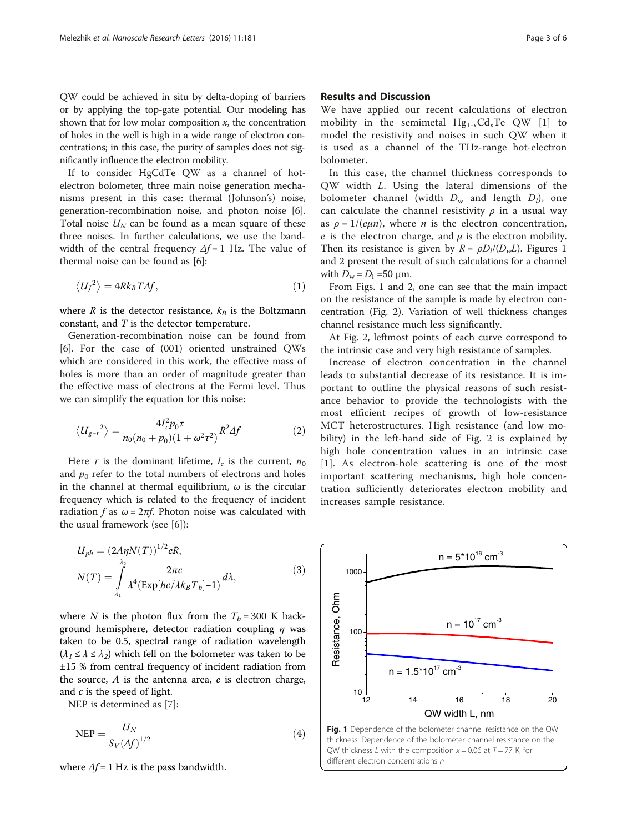<span id="page-2-0"></span>QW could be achieved in situ by delta-doping of barriers or by applying the top-gate potential. Our modeling has shown that for low molar composition  $x$ , the concentration of holes in the well is high in a wide range of electron concentrations; in this case, the purity of samples does not significantly influence the electron mobility.

If to consider HgCdTe QW as a channel of hotelectron bolometer, three main noise generation mechanisms present in this case: thermal (Johnson's) noise, generation-recombination noise, and photon noise [\[6](#page-5-0)]. Total noise  $U_N$  can be found as a mean square of these three noises. In further calculations, we use the bandwidth of the central frequency  $\Delta f = 1$  Hz. The value of thermal noise can be found as [[6](#page-5-0)]:

$$
\langle U_J{}^2 \rangle = 4Rk_B T\Delta f,\tag{1}
$$

where R is the detector resistance,  $k_B$  is the Boltzmann constant, and T is the detector temperature.

Generation-recombination noise can be found from [[6\]](#page-5-0). For the case of (001) oriented unstrained QWs which are considered in this work, the effective mass of holes is more than an order of magnitude greater than the effective mass of electrons at the Fermi level. Thus we can simplify the equation for this noise:

$$
\langle U_{g-r}^2 \rangle = \frac{4I_c^2 p_0 \tau}{n_0(n_0 + p_0)(1 + \omega^2 \tau^2)} R^2 \Delta f \tag{2}
$$

Here  $\tau$  is the dominant lifetime,  $I_c$  is the current,  $n_0$ and  $p_0$  refer to the total numbers of electrons and holes in the channel at thermal equilibrium,  $\omega$  is the circular frequency which is related to the frequency of incident radiation f as  $\omega = 2\pi f$ . Photon noise was calculated with the usual framework (see [[6\]](#page-5-0)):

$$
U_{ph} = (2A\eta N(T))^{1/2} eR,
$$
  
\n
$$
N(T) = \int_{\lambda_1}^{\lambda_2} \frac{2\pi c}{\lambda^4 (\text{Exp}[hc/\lambda k_B T_b]-1)} d\lambda,
$$
\n(3)

where N is the photon flux from the  $T_b = 300$  K background hemisphere, detector radiation coupling  $\eta$  was taken to be 0.5, spectral range of radiation wavelength  $(\lambda_1 \leq \lambda \leq \lambda_2)$  which fell on the bolometer was taken to be ±15 % from central frequency of incident radiation from the source,  $A$  is the antenna area,  $e$  is electron charge, and  $c$  is the speed of light.

NEP is determined as [\[7](#page-5-0)]:

$$
NEP = \frac{U_N}{S_V (\Delta f)^{1/2}}\tag{4}
$$

where  $\Delta f = 1$  Hz is the pass bandwidth.

## Results and Discussion

We have applied our recent calculations of electron mobility in the semimetal  $Hg_{1-x}Cd_xTe$  QW [[1\]](#page-5-0) to model the resistivity and noises in such QW when it is used as a channel of the THz-range hot-electron bolometer.

In this case, the channel thickness corresponds to QW width L. Using the lateral dimensions of the bolometer channel (width  $D_w$  and length  $D_l$ ), one can calculate the channel resistivity  $\rho$  in a usual way as  $\rho = 1/(e\mu n)$ , where *n* is the electron concentration, e is the electron charge, and  $\mu$  is the electron mobility. Then its resistance is given by  $R = \rho D_l/(D_w L)$ . Figures 1 and [2](#page-3-0) present the result of such calculations for a channel with  $D_w = D_1 = 50 \text{ }\mu\text{m}$ .

From Figs. 1 and [2](#page-3-0), one can see that the main impact on the resistance of the sample is made by electron concentration (Fig. [2](#page-3-0)). Variation of well thickness changes channel resistance much less significantly.

At Fig. [2](#page-3-0), leftmost points of each curve correspond to the intrinsic case and very high resistance of samples.

Increase of electron concentration in the channel leads to substantial decrease of its resistance. It is important to outline the physical reasons of such resistance behavior to provide the technologists with the most efficient recipes of growth of low-resistance MCT heterostructures. High resistance (and low mobility) in the left-hand side of Fig. [2](#page-3-0) is explained by high hole concentration values in an intrinsic case [[1](#page-5-0)]. As electron-hole scattering is one of the most important scattering mechanisms, high hole concentration sufficiently deteriorates electron mobility and increases sample resistance.

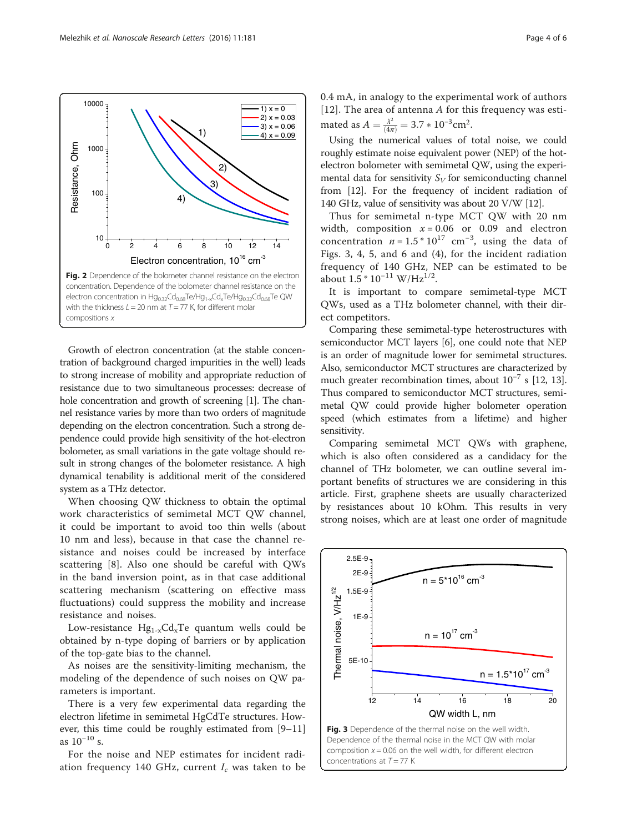

When choosing QW thickness to obtain the optimal work characteristics of semimetal MCT QW channel, it could be important to avoid too thin wells (about 10 nm and less), because in that case the channel resistance and noises could be increased by interface scattering [[8](#page-5-0)]. Also one should be careful with QWs in the band inversion point, as in that case additional scattering mechanism (scattering on effective mass fluctuations) could suppress the mobility and increase resistance and noises.

Low-resistance  $Hg_{1-x}Cd_xTe$  quantum wells could be obtained by n-type doping of barriers or by application of the top-gate bias to the channel.

As noises are the sensitivity-limiting mechanism, the modeling of the dependence of such noises on QW parameters is important.

There is a very few experimental data regarding the electron lifetime in semimetal HgCdTe structures. However, this time could be roughly estimated from [[9](#page-5-0)–[11](#page-5-0)] as  $10^{-10}$  s.

For the noise and NEP estimates for incident radiation frequency 140 GHz, current  $I_c$  was taken to be 0.4 mA, in analogy to the experimental work of authors [[12](#page-5-0)]. The area of antenna  $A$  for this frequency was estimated as  $A = \frac{\lambda^2}{(4\pi)} = 3.7 * 10^{-3} \text{cm}^2$ .

Using the numerical values of total noise, we could roughly estimate noise equivalent power (NEP) of the hotelectron bolometer with semimetal QW, using the experimental data for sensitivity  $S_V$  for semiconducting channel from [\[12\]](#page-5-0). For the frequency of incident radiation of 140 GHz, value of sensitivity was about 20 V/W [\[12\]](#page-5-0).

Thus for semimetal n-type MCT QW with 20 nm width, composition  $x = 0.06$  or 0.09 and electron concentration  $n = 1.5 * 10^{17}$  cm<sup>-3</sup>, using the data of Figs. 3, [4](#page-4-0), [5,](#page-4-0) and [6](#page-4-0) and (4), for the incident radiation frequency of 140 GHz, NEP can be estimated to be about  $1.5 * 10^{-11}$  W/Hz<sup>1/2</sup>.

It is important to compare semimetal-type MCT QWs, used as a THz bolometer channel, with their direct competitors.

Comparing these semimetal-type heterostructures with semiconductor MCT layers [[6](#page-5-0)], one could note that NEP is an order of magnitude lower for semimetal structures. Also, semiconductor MCT structures are characterized by much greater recombination times, about  $10^{-7}$  s [[12](#page-5-0), [13](#page-5-0)]. Thus compared to semiconductor MCT structures, semimetal QW could provide higher bolometer operation speed (which estimates from a lifetime) and higher sensitivity.

Comparing semimetal MCT QWs with graphene, which is also often considered as a candidacy for the channel of THz bolometer, we can outline several important benefits of structures we are considering in this article. First, graphene sheets are usually characterized by resistances about 10 kOhm. This results in very strong noises, which are at least one order of magnitude



<span id="page-3-0"></span>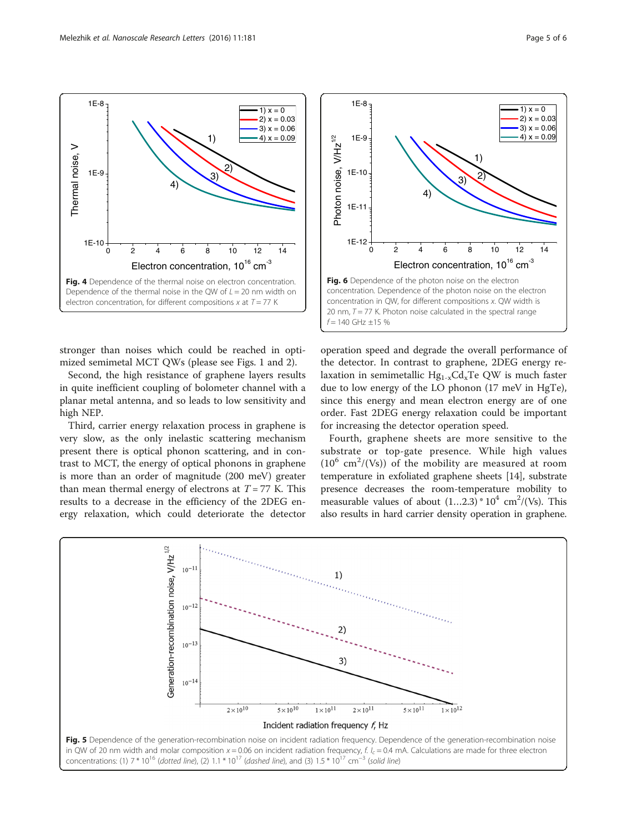1E-10

1E-9

Thermal noise, V

Thermal noise, V

<span id="page-4-0"></span> $1E-8$ 



Fig. 4 Dependence of the thermal noise on electron concentration. Dependence of the thermal noise in the OW of  $L = 20$  nm width on electron concentration, for different compositions  $x$  at  $T = 77$  K

0 2 4 6 8 10 12 14

Electron concentration,  $10^{16}$  cm<sup>-3</sup>

 $-3)$   $-2)$ 

1)  $x = 0$  $(x)$  x = 0.03  $(3)$  x = 0.06

1E-10

1E-9

1E-8

1)  $-4x = 0.09$ 

Second, the high resistance of graphene layers results in quite inefficient coupling of bolometer channel with a planar metal antenna, and so leads to low sensitivity and high NEP.

Third, carrier energy relaxation process in graphene is very slow, as the only inelastic scattering mechanism present there is optical phonon scattering, and in contrast to MCT, the energy of optical phonons in graphene is more than an order of magnitude (200 meV) greater than mean thermal energy of electrons at  $T = 77$  K. This results to a decrease in the efficiency of the 2DEG energy relaxation, which could deteriorate the detector



4)

1)  $(3)$   $(2)$ 

the detector. In contrast to graphene, 2DEG energy relaxation in semimetallic  $Hg_{1-x}Cd_xTe$  QW is much faster due to low energy of the LO phonon (17 meV in HgTe), since this energy and mean electron energy are of one order. Fast 2DEG energy relaxation could be important for increasing the detector operation speed.

Fourth, graphene sheets are more sensitive to the substrate or top-gate presence. While high values  $(10^6 \text{ cm}^2/(\text{Vs}))$  of the mobility are measured at room temperature in exfoliated graphene sheets [[14](#page-5-0)], substrate presence decreases the room-temperature mobility to measurable values of about  $(1...2.3) * 10<sup>4</sup>$  cm<sup>2</sup>/(Vs). This also results in hard carrier density operation in graphene.



1)  $x = 0$  $(x)$  x = 0.03 3)  $x = 0.06$  $(4) x = 0.09$